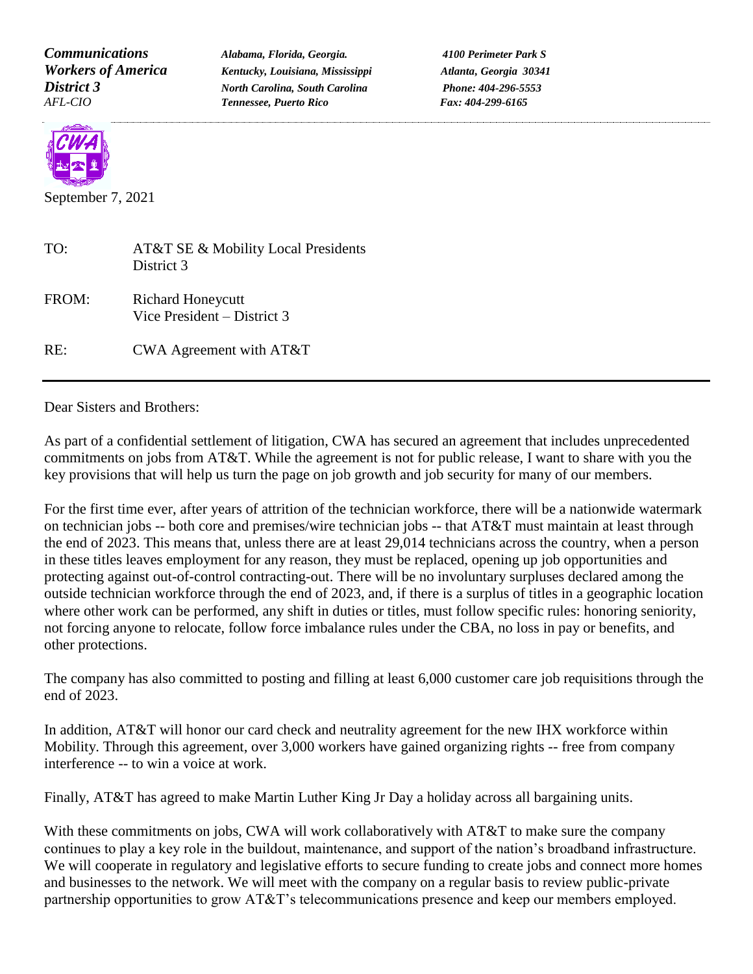*Communications Alabama, Florida, Georgia. 4100 Perimeter Park S Workers of America Kentucky, Louisiana, Mississippi Atlanta, Georgia 30341 District 3 North Carolina, South Carolina Phone: 404-296-5553 AFL-CIO Tennessee, Puerto Rico Fax: 404-299-6165*



September 7, 2021

| TO:   | AT&T SE & Mobility Local Presidents<br>District 3         |
|-------|-----------------------------------------------------------|
| FROM: | <b>Richard Honeycutt</b><br>Vice President $-$ District 3 |
| RE:   | CWA Agreement with $AT&T$                                 |

Dear Sisters and Brothers:

As part of a confidential settlement of litigation, CWA has secured an agreement that includes unprecedented commitments on jobs from AT&T. While the agreement is not for public release, I want to share with you the key provisions that will help us turn the page on job growth and job security for many of our members.

For the first time ever, after years of attrition of the technician workforce, there will be a nationwide watermark on technician jobs -- both core and premises/wire technician jobs -- that AT&T must maintain at least through the end of 2023. This means that, unless there are at least 29,014 technicians across the country, when a person in these titles leaves employment for any reason, they must be replaced, opening up job opportunities and protecting against out-of-control contracting-out. There will be no involuntary surpluses declared among the outside technician workforce through the end of 2023, and, if there is a surplus of titles in a geographic location where other work can be performed, any shift in duties or titles, must follow specific rules: honoring seniority, not forcing anyone to relocate, follow force imbalance rules under the CBA, no loss in pay or benefits, and other protections.

The company has also committed to posting and filling at least 6,000 customer care job requisitions through the end of 2023.

In addition, AT&T will honor our card check and neutrality agreement for the new IHX workforce within Mobility. Through this agreement, over 3,000 workers have gained organizing rights -- free from company interference -- to win a voice at work.

Finally, AT&T has agreed to make Martin Luther King Jr Day a holiday across all bargaining units.

With these commitments on jobs, CWA will work collaboratively with AT&T to make sure the company continues to play a key role in the buildout, maintenance, and support of the nation's broadband infrastructure. We will cooperate in regulatory and legislative efforts to secure funding to create jobs and connect more homes and businesses to the network. We will meet with the company on a regular basis to review public-private partnership opportunities to grow AT&T's telecommunications presence and keep our members employed.